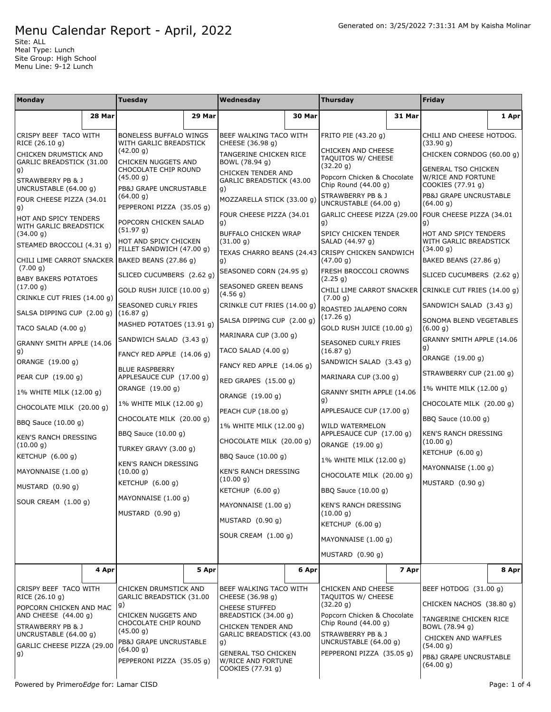Site: ALL Meal Type: Lunch Site Group: High School Menu Line: 9-12 Lunch

| <b>Monday</b>                                                                                                                                                                |        | <b>Tuesday</b>                                                                                                                                                                          |        | Wednesday                                                                                                                                                                                                                    |        | <b>Thursday</b>                                                                                                                                                                                  |        | Friday                                                                |       |                                     |
|------------------------------------------------------------------------------------------------------------------------------------------------------------------------------|--------|-----------------------------------------------------------------------------------------------------------------------------------------------------------------------------------------|--------|------------------------------------------------------------------------------------------------------------------------------------------------------------------------------------------------------------------------------|--------|--------------------------------------------------------------------------------------------------------------------------------------------------------------------------------------------------|--------|-----------------------------------------------------------------------|-------|-------------------------------------|
|                                                                                                                                                                              | 28 Mar |                                                                                                                                                                                         | 29 Mar |                                                                                                                                                                                                                              | 30 Mar |                                                                                                                                                                                                  | 31 Mar |                                                                       | 1 Apr |                                     |
| CRISPY BEEF TACO WITH<br>RICE (26.10 g)                                                                                                                                      |        | <b>BONELESS BUFFALO WINGS</b><br>WITH GARLIC BREADSTICK                                                                                                                                 |        | BEEF WALKING TACO WITH<br>CHEESE (36.98 g)                                                                                                                                                                                   |        | FRITO PIE (43.20 g)                                                                                                                                                                              |        | CHILI AND CHEESE HOTDOG.<br>(33.90 g)                                 |       |                                     |
| CHICKEN DRUMSTICK AND<br>GARLIC BREADSTICK (31.00                                                                                                                            |        | (42.00 g)<br>CHICKEN NUGGETS AND                                                                                                                                                        |        | TANGERINE CHICKEN RICE<br>BOWL (78.94 g)                                                                                                                                                                                     |        | CHICKEN AND CHEESE<br>TAQUITOS W/ CHEESE<br>(32.20 g)                                                                                                                                            |        | CHICKEN CORNDOG (60.00 g)                                             |       |                                     |
| g)<br>STRAWBERRY PB & J                                                                                                                                                      |        | CHOCOLATE CHIP ROUND<br>(45.00 g)<br>PB&J GRAPE UNCRUSTABLE                                                                                                                             |        | CHICKEN TENDER AND<br>GARLIC BREADSTICK (43.00<br>g)                                                                                                                                                                         |        | Popcorn Chicken & Chocolate<br>Chip Round (44.00 q)                                                                                                                                              |        | <b>GENERAL TSO CHICKEN</b><br>W/RICE AND FORTUNE<br>COOKIES (77.91 g) |       |                                     |
| UNCRUSTABLE (64.00 g)<br>FOUR CHEESE PIZZA (34.01<br>g)                                                                                                                      |        | (64.00 g)<br>PEPPERONI PIZZA (35.05 g)                                                                                                                                                  |        | MOZZARELLA STICK (33.00 g)                                                                                                                                                                                                   |        | STRAWBERRY PB & J<br>UNCRUSTABLE (64.00 g)                                                                                                                                                       |        | PB&J GRAPE UNCRUSTABLE<br>(64.00 g)                                   |       |                                     |
| HOT AND SPICY TENDERS<br>WITH GARLIC BREADSTICK                                                                                                                              |        | POPCORN CHICKEN SALAD<br>(51.97 g)                                                                                                                                                      |        | FOUR CHEESE PIZZA (34.01<br>g)                                                                                                                                                                                               |        | GARLIC CHEESE PIZZA (29.00<br>g)                                                                                                                                                                 |        | FOUR CHEESE PIZZA (34.01<br>g)                                        |       |                                     |
| (34.00 g)<br>STEAMED BROCCOLI (4.31 g)                                                                                                                                       |        | HOT AND SPICY CHICKEN<br>FILLET SANDWICH (47.00 g)                                                                                                                                      |        | BUFFALO CHICKEN WRAP<br>(31.00 g)<br>TEXAS CHARRO BEANS (24.43 CRISPY CHICKEN SANDWICH                                                                                                                                       |        | SPICY CHICKEN TENDER<br>SALAD (44.97 g)                                                                                                                                                          |        | HOT AND SPICY TENDERS<br>WITH GARLIC BREADSTICK<br>(34.00 g)          |       |                                     |
| (7.00 g)                                                                                                                                                                     |        | CHILI LIME CARROT SNACKER BAKED BEANS (27.86 g)                                                                                                                                         |        | g)                                                                                                                                                                                                                           |        | (47.00 g)                                                                                                                                                                                        |        | BAKED BEANS (27.86 g)                                                 |       |                                     |
| <b>BABY BAKERS POTATOES</b>                                                                                                                                                  |        | SLICED CUCUMBERS (2.62 g)                                                                                                                                                               |        | SEASONED CORN (24.95 g)                                                                                                                                                                                                      |        | FRESH BROCCOLI CROWNS<br>(2.25 g)                                                                                                                                                                |        | SLICED CUCUMBERS (2.62 g)                                             |       |                                     |
| (17.00 g)<br>CRINKLE CUT FRIES (14.00 q)                                                                                                                                     |        | GOLD RUSH JUICE (10.00 q)                                                                                                                                                               |        | SEASONED GREEN BEANS<br>(4.56 g)                                                                                                                                                                                             |        | CHILI LIME CARROT SNACKER<br>(7.00 g)                                                                                                                                                            |        | CRINKLE CUT FRIES (14.00 q)                                           |       |                                     |
| SALSA DIPPING CUP (2.00 g)                                                                                                                                                   |        | SEASONED CURLY FRIES<br>(16.87 g)                                                                                                                                                       |        | CRINKLE CUT FRIES (14.00 g)                                                                                                                                                                                                  |        | ROASTED JALAPENO CORN<br>(17.26 g)                                                                                                                                                               |        | SANDWICH SALAD (3.43 q)<br>SONOMA BLEND VEGETABLES                    |       |                                     |
| TACO SALAD (4.00 g)                                                                                                                                                          |        | MASHED POTATOES (13.91 q)                                                                                                                                                               |        | SALSA DIPPING CUP (2.00 q)                                                                                                                                                                                                   |        | GOLD RUSH JUICE (10.00 q)                                                                                                                                                                        |        | (6.00 g)                                                              |       |                                     |
| GRANNY SMITH APPLE (14.06<br>g)                                                                                                                                              |        | SANDWICH SALAD (3.43 q)                                                                                                                                                                 |        | MARINARA CUP (3.00 g)<br>TACO SALAD (4.00 g)                                                                                                                                                                                 |        | <b>SEASONED CURLY FRIES</b><br>(16.87 g)                                                                                                                                                         |        | GRANNY SMITH APPLE (14.06<br>g)                                       |       |                                     |
| ORANGE (19.00 g)                                                                                                                                                             |        | FANCY RED APPLE (14.06 g)                                                                                                                                                               |        | FANCY RED APPLE (14.06 g)                                                                                                                                                                                                    |        | SANDWICH SALAD (3.43 g)                                                                                                                                                                          |        | ORANGE (19.00 g)                                                      |       |                                     |
| PEAR CUP (19.00 g)                                                                                                                                                           |        | <b>BLUE RASPBERRY</b><br>APPLESAUCE CUP (17.00 g)                                                                                                                                       |        | RED GRAPES (15.00 g)                                                                                                                                                                                                         |        | MARINARA CUP (3.00 g)                                                                                                                                                                            |        | STRAWBERRY CUP (21.00 g)                                              |       |                                     |
| 1% WHITE MILK (12.00 g)                                                                                                                                                      |        | ORANGE (19.00 g)                                                                                                                                                                        |        | ORANGE (19.00 g)                                                                                                                                                                                                             |        | GRANNY SMITH APPLE (14.06<br>g)                                                                                                                                                                  |        | 1% WHITE MILK (12.00 g)                                               |       |                                     |
| CHOCOLATE MILK (20.00 g)                                                                                                                                                     |        | 1% WHITE MILK (12.00 g)                                                                                                                                                                 |        | PEACH CUP (18.00 g)                                                                                                                                                                                                          |        | APPLESAUCE CUP (17.00 g)                                                                                                                                                                         |        | CHOCOLATE MILK (20.00 g)<br>BBQ Sauce (10.00 g)                       |       |                                     |
| BBQ Sauce (10.00 g)                                                                                                                                                          |        | CHOCOLATE MILK (20.00 g)<br>BBQ Sauce (10.00 g)                                                                                                                                         |        | 1% WHITE MILK (12.00 g)                                                                                                                                                                                                      |        | WILD WATERMELON<br>APPLESAUCE CUP (17.00 g)                                                                                                                                                      |        | KEN'S RANCH DRESSING                                                  |       |                                     |
| <b>KEN'S RANCH DRESSING</b><br>(10.00 g)                                                                                                                                     |        | TURKEY GRAVY (3.00 q)                                                                                                                                                                   |        | CHOCOLATE MILK (20.00 g)                                                                                                                                                                                                     |        | ORANGE (19.00 q)                                                                                                                                                                                 |        | (10.00 q)                                                             |       |                                     |
| KETCHUP $(6.00 g)$                                                                                                                                                           |        | KEN'S RANCH DRESSING<br>(10.00 g)<br>KETCHUP $(6.00 g)$                                                                                                                                 |        | BBQ Sauce (10.00 g)<br><b>KEN'S RANCH DRESSING</b><br>(10.00 g)                                                                                                                                                              |        | 1% WHITE MILK (12.00 g)<br>CHOCOLATE MILK (20.00 q)                                                                                                                                              |        | KETCHUP $(6.00 g)$<br>MAYONNAISE (1.00 q)                             |       |                                     |
| MAYONNAISE (1.00 q)                                                                                                                                                          |        |                                                                                                                                                                                         |        |                                                                                                                                                                                                                              |        |                                                                                                                                                                                                  |        | MUSTARD (0.90 g)                                                      |       |                                     |
| MUSTARD (0.90 g)                                                                                                                                                             |        | MAYONNAISE (1.00 g)                                                                                                                                                                     |        | KETCHUP (6.00 g)                                                                                                                                                                                                             |        | BBQ Sauce (10.00 g)                                                                                                                                                                              |        |                                                                       |       |                                     |
| SOUR CREAM (1.00 g)                                                                                                                                                          |        | MUSTARD $(0.90 g)$                                                                                                                                                                      |        | MAYONNAISE (1.00 q)<br>MUSTARD (0.90 g)                                                                                                                                                                                      |        | KEN'S RANCH DRESSING<br>(10.00 g)<br>KETCHUP (6.00 g)                                                                                                                                            |        |                                                                       |       |                                     |
|                                                                                                                                                                              |        |                                                                                                                                                                                         |        |                                                                                                                                                                                                                              |        |                                                                                                                                                                                                  |        |                                                                       |       |                                     |
|                                                                                                                                                                              |        |                                                                                                                                                                                         |        | SOUR CREAM (1.00 g)                                                                                                                                                                                                          |        | MAYONNAISE (1.00 g)                                                                                                                                                                              |        |                                                                       |       |                                     |
|                                                                                                                                                                              | 4 Apr  |                                                                                                                                                                                         | 5 Apr  |                                                                                                                                                                                                                              | 6 Apr  | MUSTARD $(0.90 g)$                                                                                                                                                                               | 7 Apr  |                                                                       | 8 Apr |                                     |
|                                                                                                                                                                              |        |                                                                                                                                                                                         |        |                                                                                                                                                                                                                              |        |                                                                                                                                                                                                  |        |                                                                       |       |                                     |
| CRISPY BEEF TACO WITH<br>RICE (26.10 g)<br>POPCORN CHICKEN AND MAC<br>AND CHEESE (44.00 g)<br>STRAWBERRY PB & J<br>UNCRUSTABLE (64.00 g)<br>GARLIC CHEESE PIZZA (29.00<br>g) |        | CHICKEN DRUMSTICK AND<br>GARLIC BREADSTICK (31.00<br>g)<br>CHICKEN NUGGETS AND<br>CHOCOLATE CHIP ROUND<br>(45.00 g)<br>PB&J GRAPE UNCRUSTABLE<br>(64.00 g)<br>PEPPERONI PIZZA (35.05 g) |        | BEEF WALKING TACO WITH<br>CHEESE (36.98 g)<br><b>CHEESE STUFFED</b><br>BREADSTICK (34.00 g)<br>CHICKEN TENDER AND<br>GARLIC BREADSTICK (43.00<br>g)<br><b>GENERAL TSO CHICKEN</b><br>W/RICE AND FORTUNE<br>COOKIES (77.91 g) |        | <b>CHICKEN AND CHEESE</b><br>TAQUITOS W/ CHEESE<br>(32.20 g)<br>Popcorn Chicken & Chocolate<br>Chip Round $(44.00 g)$<br>STRAWBERRY PB & J<br>UNCRUSTABLE (64.00 g)<br>PEPPERONI PIZZA (35.05 g) |        | BEEF HOTDOG (31.00 g)                                                 |       |                                     |
|                                                                                                                                                                              |        |                                                                                                                                                                                         |        |                                                                                                                                                                                                                              |        |                                                                                                                                                                                                  |        | CHICKEN NACHOS (38.80 g)<br>TANGERINE CHICKEN RICE                    |       |                                     |
|                                                                                                                                                                              |        |                                                                                                                                                                                         |        |                                                                                                                                                                                                                              |        |                                                                                                                                                                                                  |        | BOWL (78.94 g)<br>CHICKEN AND WAFFLES<br>(54.00 g)                    |       |                                     |
|                                                                                                                                                                              |        |                                                                                                                                                                                         |        |                                                                                                                                                                                                                              |        |                                                                                                                                                                                                  |        |                                                                       |       | PB&J GRAPE UNCRUSTABLE<br>(64.00 g) |
|                                                                                                                                                                              |        |                                                                                                                                                                                         |        |                                                                                                                                                                                                                              |        |                                                                                                                                                                                                  |        | Powered by PrimeroEdge for: Lamar CISD                                |       |                                     |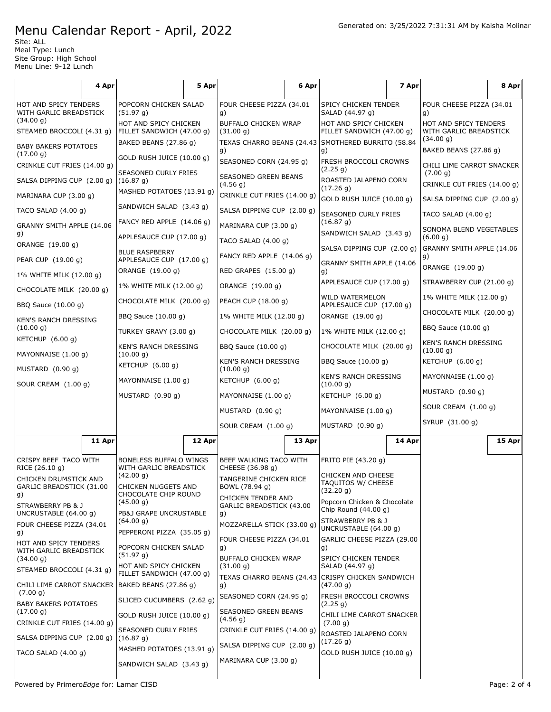Site: ALL Meal Type: Lunch Site Group: High School Menu Line: 9-12 Lunch

 $\overline{1}$ 

|                                                         | 4 Apr  |                                                                                                              | 5 Apr  |                                                                                        | 6 Apr  |                                                                                     | 7 Apr  |                                                              | 8 Apr  |
|---------------------------------------------------------|--------|--------------------------------------------------------------------------------------------------------------|--------|----------------------------------------------------------------------------------------|--------|-------------------------------------------------------------------------------------|--------|--------------------------------------------------------------|--------|
| HOT AND SPICY TENDERS<br>WITH GARLIC BREADSTICK         |        | POPCORN CHICKEN SALAD<br>(51.97 g)                                                                           |        | FOUR CHEESE PIZZA (34.01<br>g)                                                         |        | SPICY CHICKEN TENDER<br>SALAD (44.97 g)                                             |        | FOUR CHEESE PIZZA (34.01<br>g)                               |        |
| (34.00 g)<br>STEAMED BROCCOLI (4.31 g)                  |        | HOT AND SPICY CHICKEN<br>FILLET SANDWICH (47.00 g)                                                           |        | <b>BUFFALO CHICKEN WRAP</b><br>(31.00 g)                                               |        | HOT AND SPICY CHICKEN<br>FILLET SANDWICH (47.00 g)                                  |        | HOT AND SPICY TENDERS<br>WITH GARLIC BREADSTICK<br>(34.00 g) |        |
| <b>BABY BAKERS POTATOES</b><br>(17.00 g)                |        | BAKED BEANS (27.86 g)<br>GOLD RUSH JUICE (10.00 g)                                                           |        | TEXAS CHARRO BEANS (24.43<br>g)                                                        |        | SMOTHERED BURRITO (58.84<br>g)                                                      |        | BAKED BEANS (27.86 g)                                        |        |
| CRINKLE CUT FRIES (14.00 g)                             |        | SEASONED CURLY FRIES                                                                                         |        | SEASONED CORN (24.95 g)<br><b>SEASONED GREEN BEANS</b>                                 |        | FRESH BROCCOLI CROWNS<br>(2.25 g)<br>ROASTED JALAPENO CORN                          |        | CHILI LIME CARROT SNACKER<br>(7.00 g)                        |        |
| SALSA DIPPING CUP (2.00 g)<br>MARINARA CUP (3.00 g)     |        | (16.87 g)<br>MASHED POTATOES (13.91 g)                                                                       |        | (4.56 g)                                                                               |        | (17.26 g)                                                                           |        | CRINKLE CUT FRIES (14.00 g)                                  |        |
| TACO SALAD (4.00 g)                                     |        | SANDWICH SALAD (3.43 g)                                                                                      |        | CRINKLE CUT FRIES (14.00 g)<br>SALSA DIPPING CUP (2.00 g)                              |        | GOLD RUSH JUICE (10.00 g)                                                           |        | SALSA DIPPING CUP (2.00 g)                                   |        |
| GRANNY SMITH APPLE (14.06                               |        | FANCY RED APPLE (14.06 g)                                                                                    |        | MARINARA CUP (3.00 g)                                                                  |        | SEASONED CURLY FRIES<br>(16.87 g)                                                   |        | TACO SALAD $(4.00 g)$                                        |        |
| g)                                                      |        | APPLESAUCE CUP (17.00 g)                                                                                     |        | TACO SALAD (4.00 g)                                                                    |        | SANDWICH SALAD (3.43 g)                                                             |        | SONOMA BLEND VEGETABLES<br>(6.00 g)                          |        |
| ORANGE (19.00 g)<br>PEAR CUP (19.00 g)                  |        | <b>BLUE RASPBERRY</b><br>APPLESAUCE CUP (17.00 g)                                                            |        | FANCY RED APPLE (14.06 g)                                                              |        | SALSA DIPPING CUP (2.00 g)                                                          |        | GRANNY SMITH APPLE (14.06<br>g)                              |        |
| 1% WHITE MILK (12.00 g)                                 |        | ORANGE (19.00 g)                                                                                             |        | RED GRAPES (15.00 g)                                                                   |        | GRANNY SMITH APPLE (14.06<br>g)                                                     |        | ORANGE (19.00 g)                                             |        |
| CHOCOLATE MILK (20.00 g)                                |        | 1% WHITE MILK (12.00 g)                                                                                      |        | ORANGE (19.00 g)                                                                       |        | APPLESAUCE CUP (17.00 g)                                                            |        | STRAWBERRY CUP (21.00 g)                                     |        |
| BBQ Sauce (10.00 g)                                     |        | CHOCOLATE MILK (20.00 g)                                                                                     |        | PEACH CUP (18.00 g)                                                                    |        | WILD WATERMELON<br>APPLESAUCE CUP (17.00 g)                                         |        | 1% WHITE MILK (12.00 g)                                      |        |
| KEN'S RANCH DRESSING                                    |        | BBQ Sauce (10.00 g)                                                                                          |        | 1% WHITE MILK (12.00 g)                                                                |        | ORANGE (19.00 g)                                                                    |        | CHOCOLATE MILK (20.00 g)                                     |        |
| (10.00 g)                                               |        | TURKEY GRAVY (3.00 q)                                                                                        |        | CHOCOLATE MILK (20.00 g)                                                               |        | 1% WHITE MILK (12.00 g)                                                             |        | BBQ Sauce (10.00 g)                                          |        |
| KETCHUP (6.00 g)<br>MAYONNAISE (1.00 g)                 |        | <b>KEN'S RANCH DRESSING</b><br>(10.00 g)                                                                     |        | BBQ Sauce (10.00 g)                                                                    |        | CHOCOLATE MILK (20.00 g)                                                            |        | <b>KEN'S RANCH DRESSING</b><br>(10.00 g)                     |        |
| MUSTARD (0.90 g)                                        |        | KETCHUP $(6.00 g)$                                                                                           |        | <b>KEN'S RANCH DRESSING</b><br>(10.00 g)                                               |        | BBQ Sauce (10.00 g)                                                                 |        | KETCHUP (6.00 g)                                             |        |
| SOUR CREAM (1.00 g)                                     |        | MAYONNAISE (1.00 g)                                                                                          |        | KETCHUP (6.00 g)                                                                       |        | KEN'S RANCH DRESSING<br>(10.00 g)                                                   |        | MAYONNAISE $(1.00 g)$                                        |        |
|                                                         |        | MUSTARD (0.90 g)                                                                                             |        | MAYONNAISE (1.00 g)                                                                    |        | KETCHUP (6.00 g)                                                                    |        | MUSTARD (0.90 g)                                             |        |
|                                                         |        |                                                                                                              |        | MUSTARD $(0.90 g)$                                                                     |        | MAYONNAISE (1.00 g)                                                                 |        | SOUR CREAM (1.00 g)                                          |        |
|                                                         |        |                                                                                                              |        | SOUR CREAM (1.00 g)                                                                    |        | MUSTARD (0.90 g)                                                                    |        | SYRUP (31.00 g)                                              |        |
|                                                         | 11 Apr |                                                                                                              | 12 Apr |                                                                                        | 13 Apr |                                                                                     | 14 Apr |                                                              | 15 Apr |
| CRISPY BEEF TACO WITH<br>RICE (26.10 g)                 |        | BONELESS BUFFALO WINGS<br>WITH GARLIC BREADSTICK<br>(42.00 g)<br>CHICKEN NUGGETS AND<br>CHOCOLATE CHIP ROUND |        | BEEF WALKING TACO WITH<br>CHEESE (36.98 g)<br>TANGERINE CHICKEN RICE<br>BOWL (78.94 g) |        | FRITO PIE (43.20 g)<br><b>CHICKEN AND CHEESE</b><br>TAQUITOS W/ CHEESE<br>(32.20 g) |        |                                                              |        |
| CHICKEN DRUMSTICK AND<br>GARLIC BREADSTICK (31.00<br>g) |        |                                                                                                              |        |                                                                                        |        |                                                                                     |        |                                                              |        |
| STRAWBERRY PB & J<br>UNCRUSTABLE (64.00 g)              |        | (45.00 g)<br>PB&J GRAPE UNCRUSTABLE                                                                          |        | CHICKEN TENDER AND<br>GARLIC BREADSTICK (43.00<br>g)                                   |        | Popcorn Chicken & Chocolate<br>Chip Round (44.00 g)                                 |        |                                                              |        |
| FOUR CHEESE PIZZA (34.01<br>g)                          |        | (64.00 g)<br>PEPPERONI PIZZA (35.05 g)                                                                       |        | MOZZARELLA STICK (33.00 g)                                                             |        | STRAWBERRY PB & J<br>UNCRUSTABLE (64.00 g)                                          |        |                                                              |        |
| HOT AND SPICY TENDERS<br>WITH GARLIC BREADSTICK         |        | POPCORN CHICKEN SALAD<br>(51.97 g)                                                                           |        | FOUR CHEESE PIZZA (34.01<br>g)                                                         |        | GARLIC CHEESE PIZZA (29.00<br>g)                                                    |        |                                                              |        |
| (34.00 g)<br>STEAMED BROCCOLI (4.31 g)                  |        | HOT AND SPICY CHICKEN<br>FILLET SANDWICH (47.00 g)                                                           |        | <b>BUFFALO CHICKEN WRAP</b><br>(31.00 g)                                               |        | SPICY CHICKEN TENDER<br>SALAD (44.97 g)                                             |        |                                                              |        |
| CHILI LIME CARROT SNACKER                               |        | BAKED BEANS (27.86 g)                                                                                        |        | TEXAS CHARRO BEANS (24.43)<br>g)                                                       |        | CRISPY CHICKEN SANDWICH<br>(47.00 g)                                                |        |                                                              |        |
| (7.00 g)<br><b>BABY BAKERS POTATOES</b>                 |        | SLICED CUCUMBERS (2.62 g)                                                                                    |        | SEASONED CORN (24.95 g)                                                                |        | FRESH BROCCOLI CROWNS<br>(2.25 g)                                                   |        |                                                              |        |
| (17.00 g)<br>CRINKLE CUT FRIES (14.00 g)                |        | GOLD RUSH JUICE (10.00 g)                                                                                    |        | SEASONED GREEN BEANS<br>(4.56 g)                                                       |        | CHILI LIME CARROT SNACKER<br>(7.00 g)                                               |        |                                                              |        |
| SALSA DIPPING CUP (2.00 g)                              |        | SEASONED CURLY FRIES<br>(16.87 g)                                                                            |        | CRINKLE CUT FRIES (14.00 g)                                                            |        | ROASTED JALAPENO CORN                                                               |        |                                                              |        |
| TACO SALAD $(4.00 g)$                                   |        | MASHED POTATOES (13.91 g)                                                                                    |        | SALSA DIPPING CUP (2.00 g)                                                             |        | (17.26 g)<br>GOLD RUSH JUICE (10.00 g)                                              |        |                                                              |        |
|                                                         |        | SANDWICH SALAD (3.43 g)                                                                                      |        | MARINARA CUP (3.00 g)                                                                  |        |                                                                                     |        |                                                              |        |

Powered by Primero*Edge* for: Lamar CISD examples a proportion of the example of the Page: 2 of 4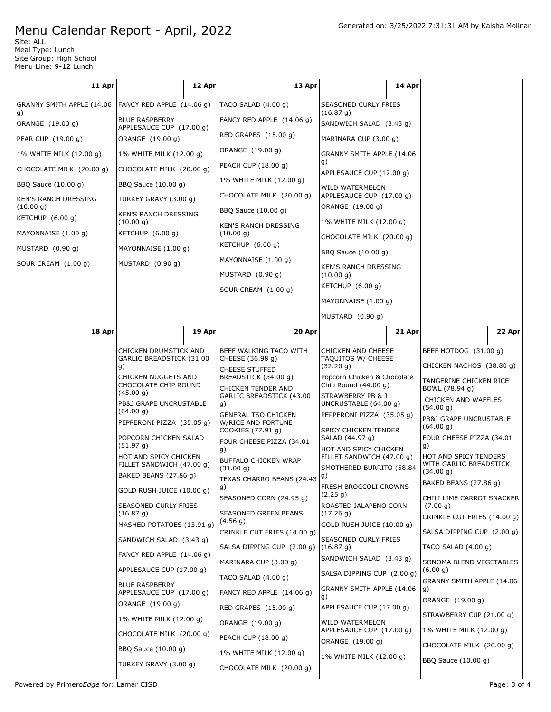Site: ALL Meal Type: Lunch Site Group: High School Menu Line: 9-12 Lunch

|                           |                                                                                                                                | 11 Apr                                            |                                              | 12 Apr                                                                                                            |                                                       | 13 Apr                                          |                                                    | 14 Apr                                   |                                         |        |
|---------------------------|--------------------------------------------------------------------------------------------------------------------------------|---------------------------------------------------|----------------------------------------------|-------------------------------------------------------------------------------------------------------------------|-------------------------------------------------------|-------------------------------------------------|----------------------------------------------------|------------------------------------------|-----------------------------------------|--------|
|                           | GRANNY SMITH APPLE (14.06                                                                                                      |                                                   | FANCY RED APPLE (14.06 g)                    |                                                                                                                   | TACO SALAD $(4.00 g)$                                 |                                                 | SEASONED CURLY FRIES                               |                                          |                                         |        |
| g)<br>ORANGE (19.00 g)    |                                                                                                                                | <b>BLUE RASPBERRY</b>                             |                                              | FANCY RED APPLE (14.06 g)                                                                                         |                                                       | (16.87 g)<br>SANDWICH SALAD (3.43 g)            |                                                    |                                          |                                         |        |
| PEAR CUP (19.00 g)        |                                                                                                                                |                                                   | APPLESAUCE CUP (17.00 g)<br>ORANGE (19.00 g) |                                                                                                                   | RED GRAPES (15.00 g)                                  |                                                 | MARINARA CUP (3.00 g)                              |                                          |                                         |        |
|                           | 1% WHITE MILK (12.00 g)                                                                                                        |                                                   | 1% WHITE MILK (12.00 g)                      |                                                                                                                   | ORANGE (19.00 g)                                      |                                                 | GRANNY SMITH APPLE (14.06                          |                                          |                                         |        |
|                           | CHOCOLATE MILK (20.00 g)                                                                                                       |                                                   | CHOCOLATE MILK (20.00 g)                     |                                                                                                                   | PEACH CUP (18.00 g)                                   |                                                 | g)<br>APPLESAUCE CUP (17.00 g)                     |                                          |                                         |        |
|                           | BBQ Sauce (10.00 g)                                                                                                            |                                                   | BBQ Sauce (10.00 g)                          |                                                                                                                   | 1% WHITE MILK (12.00 g)                               |                                                 | WILD WATERMELON                                    |                                          |                                         |        |
|                           | KEN'S RANCH DRESSING                                                                                                           |                                                   | TURKEY GRAVY (3.00 g)                        |                                                                                                                   | CHOCOLATE MILK (20.00 g)                              |                                                 | APPLESAUCE CUP (17.00 g)                           |                                          |                                         |        |
|                           | (10.00 g)<br>KETCHUP (6.00 g)                                                                                                  |                                                   | <b>KEN'S RANCH DRESSING</b>                  |                                                                                                                   | BBQ Sauce (10.00 g)                                   |                                                 | ORANGE (19.00 g)<br>1% WHITE MILK (12.00 g)        |                                          |                                         |        |
|                           | MAYONNAISE (1.00 g)                                                                                                            |                                                   | (10.00 g)<br>KETCHUP $(6.00 g)$              |                                                                                                                   | KEN'S RANCH DRESSING<br>(10.00 g)                     |                                                 | CHOCOLATE MILK (20.00 g)                           |                                          |                                         |        |
|                           | MUSTARD (0.90 g)                                                                                                               |                                                   | MAYONNAISE (1.00 g)<br>MUSTARD (0.90 g)      |                                                                                                                   | KETCHUP $(6.00 g)$                                    |                                                 | BBQ Sauce (10.00 g)                                |                                          |                                         |        |
|                           | SOUR CREAM (1.00 g)                                                                                                            |                                                   |                                              |                                                                                                                   | MAYONNAISE (1.00 g)                                   |                                                 | <b>KEN'S RANCH DRESSING</b><br>(10.00 g)           |                                          |                                         |        |
|                           |                                                                                                                                |                                                   |                                              |                                                                                                                   | MUSTARD (0.90 g)                                      |                                                 |                                                    |                                          |                                         |        |
|                           |                                                                                                                                |                                                   |                                              |                                                                                                                   | SOUR CREAM (1.00 g)                                   |                                                 | KETCHUP $(6.00 g)$                                 |                                          |                                         |        |
|                           |                                                                                                                                |                                                   |                                              |                                                                                                                   |                                                       |                                                 | MAYONNAISE (1.00 g)                                |                                          |                                         |        |
|                           |                                                                                                                                | 18 Apr                                            |                                              | 19 Apr                                                                                                            |                                                       | 20 Apr                                          | MUSTARD (0.90 g)                                   | 21 Apr                                   |                                         | 22 Apr |
|                           |                                                                                                                                |                                                   |                                              |                                                                                                                   |                                                       |                                                 |                                                    |                                          |                                         |        |
| g)                        |                                                                                                                                | CHICKEN DRUMSTICK AND<br>GARLIC BREADSTICK (31.00 |                                              | BEEF WALKING TACO WITH<br>CHEESE (36.98 g)<br><b>CHEESE STUFFED</b><br>BREADSTICK (34.00 g)<br>CHICKEN TENDER AND |                                                       | <b>CHICKEN AND CHEESE</b><br>TAQUITOS W/ CHEESE |                                                    | BEEF HOTDOG (31.00 g)                    |                                         |        |
|                           |                                                                                                                                | CHICKEN NUGGETS AND                               |                                              |                                                                                                                   |                                                       | (32.20 g)<br>Popcorn Chicken & Chocolate        |                                                    | CHICKEN NACHOS (38.80 g)                 |                                         |        |
|                           | CHOCOLATE CHIP ROUND<br>(45.00 g)<br>PB&J GRAPE UNCRUSTABLE<br>(64.00 g)<br>PEPPERONI PIZZA (35.05 g)<br>POPCORN CHICKEN SALAD |                                                   |                                              |                                                                                                                   |                                                       | Chip Round $(44.00 g)$                          |                                                    | TANGERINE CHICKEN RICE<br>BOWL (78.94 g) |                                         |        |
|                           |                                                                                                                                |                                                   | g)                                           | GARLIC BREADSTICK (43.00<br>STRAWBERRY PB & J<br>UNCRUSTABLE (64.00 g)                                            |                                                       |                                                 | CHICKEN AND WAFFLES<br>(54.00 g)                   |                                          |                                         |        |
|                           |                                                                                                                                |                                                   |                                              | <b>GENERAL TSO CHICKEN</b><br>W/RICE AND FORTUNE                                                                  |                                                       | PEPPERONI PIZZA (35.05 g)                       |                                                    | PB&J GRAPE UNCRUSTABLE                   |                                         |        |
|                           |                                                                                                                                |                                                   |                                              | COOKIES (77.91 g)<br>FOUR CHEESE PIZZA (34.01                                                                     |                                                       | SPICY CHICKEN TENDER<br>SALAD (44.97 g)         |                                                    | (64.00 g)<br>FOUR CHEESE PIZZA (34.01    |                                         |        |
|                           |                                                                                                                                |                                                   | (51.97 g)<br>HOT AND SPICY CHICKEN           |                                                                                                                   | g)                                                    |                                                 | HOT AND SPICY CHICKEN<br>FILLET SANDWICH (47.00 g) |                                          | g)<br>HOT AND SPICY TENDERS             |        |
|                           |                                                                                                                                |                                                   | FILLET SANDWICH (47.00 g)                    |                                                                                                                   | <b>BUFFALO CHICKEN WRAP</b><br>(31.00 g)              |                                                 | SMOTHERED BURRITO (58.84                           |                                          | WITH GARLIC BREADSTICK<br>(34.00 g)     |        |
|                           |                                                                                                                                |                                                   | BAKED BEANS (27.86 g)                        |                                                                                                                   | TEXAS CHARRO BEANS $(24.43 9)$<br> g)                 |                                                 | FRESH BROCCOLI CROWNS                              |                                          | BAKED BEANS (27.86 g)                   |        |
|                           |                                                                                                                                |                                                   | GOLD RUSH JUICE (10.00 g)                    |                                                                                                                   | SEASONED CORN (24.95 g)                               |                                                 | (2.25 g)                                           |                                          | CHILI LIME CARROT SNACKER               |        |
|                           |                                                                                                                                |                                                   | SEASONED CURLY FRIES<br>(16.87 g)            |                                                                                                                   | SEASONED GREEN BEANS                                  |                                                 | ROASTED JALAPENO CORN<br>(17.26 g)                 |                                          | (7.00 g)<br>CRINKLE CUT FRIES (14.00 g) |        |
| MASHED POTATOES (13.91 g) |                                                                                                                                |                                                   | (4.56 g)<br>CRINKLE CUT FRIES (14.00 g)      |                                                                                                                   | GOLD RUSH JUICE (10.00 g)                             |                                                 | SALSA DIPPING CUP (2.00 g)                         |                                          |                                         |        |
|                           |                                                                                                                                |                                                   | SANDWICH SALAD (3.43 g)                      |                                                                                                                   | SALSA DIPPING CUP (2.00 g)                            |                                                 | SEASONED CURLY FRIES<br>(16.87 g)                  |                                          | TACO SALAD $(4.00 g)$                   |        |
|                           | FANCY RED APPLE (14.06 g)<br>APPLESAUCE CUP (17.00 g)                                                                          |                                                   | MARINARA CUP (3.00 g)<br>TACO SALAD (4.00 g) |                                                                                                                   | SANDWICH SALAD (3.43 g)<br>SALSA DIPPING CUP (2.00 g) |                                                 | SONOMA BLEND VEGETABLES                            |                                          |                                         |        |
|                           |                                                                                                                                |                                                   |                                              |                                                                                                                   |                                                       |                                                 | (6.00 g)                                           |                                          |                                         |        |
|                           | <b>BLUE RASPBERRY</b><br>APPLESAUCE CUP (17.00 g)                                                                              |                                                   | FANCY RED APPLE (14.06 g)                    |                                                                                                                   | GRANNY SMITH APPLE (14.06<br>g)                       |                                                 | GRANNY SMITH APPLE (14.06<br>g)                    |                                          |                                         |        |
|                           | ORANGE (19.00 g)                                                                                                               |                                                   | RED GRAPES (15.00 g)                         |                                                                                                                   | APPLESAUCE CUP (17.00 g)                              | ORANGE (19.00 g)                                |                                                    |                                          |                                         |        |
|                           | 1% WHITE MILK (12.00 g)                                                                                                        |                                                   | ORANGE (19.00 g)                             |                                                                                                                   | WILD WATERMELON                                       |                                                 | STRAWBERRY CUP (21.00 g)                           |                                          |                                         |        |
|                           |                                                                                                                                |                                                   | CHOCOLATE MILK (20.00 g)                     |                                                                                                                   | PEACH CUP (18.00 g)                                   |                                                 | APPLESAUCE CUP (17.00 g)<br>ORANGE (19.00 g)       |                                          | 1% WHITE MILK (12.00 g)                 |        |
|                           |                                                                                                                                | BBQ Sauce (10.00 g)                               |                                              | 1% WHITE MILK (12.00 g)                                                                                           |                                                       | 1% WHITE MILK (12.00 g)                         |                                                    | CHOCOLATE MILK (20.00 g)                 |                                         |        |
|                           |                                                                                                                                |                                                   | TURKEY GRAVY (3.00 g)                        |                                                                                                                   | CHOCOLATE MILK (20.00 g)                              |                                                 |                                                    |                                          | BBQ Sauce (10.00 g)                     |        |
|                           |                                                                                                                                |                                                   |                                              |                                                                                                                   |                                                       |                                                 |                                                    |                                          |                                         |        |